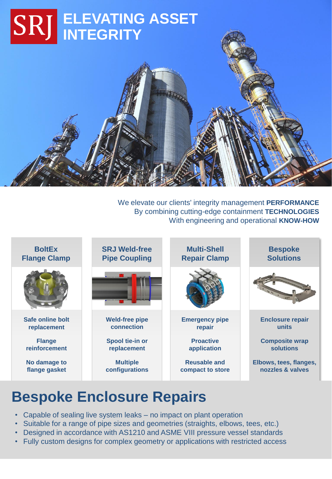

We elevate our clients' integrity management **PERFORMANCE** By combining cutting-edge containment **TECHNOLOGIES** With engineering and operational **KNOW-HOW**



# **Bespoke Enclosure Repairs**

- Capable of sealing live system leaks no impact on plant operation
- Suitable for a range of pipe sizes and geometries (straights, elbows, tees, etc.)
- Designed in accordance with AS1210 and ASME VIII pressure vessel standards
- Fully custom designs for complex geometry or applications with restricted access